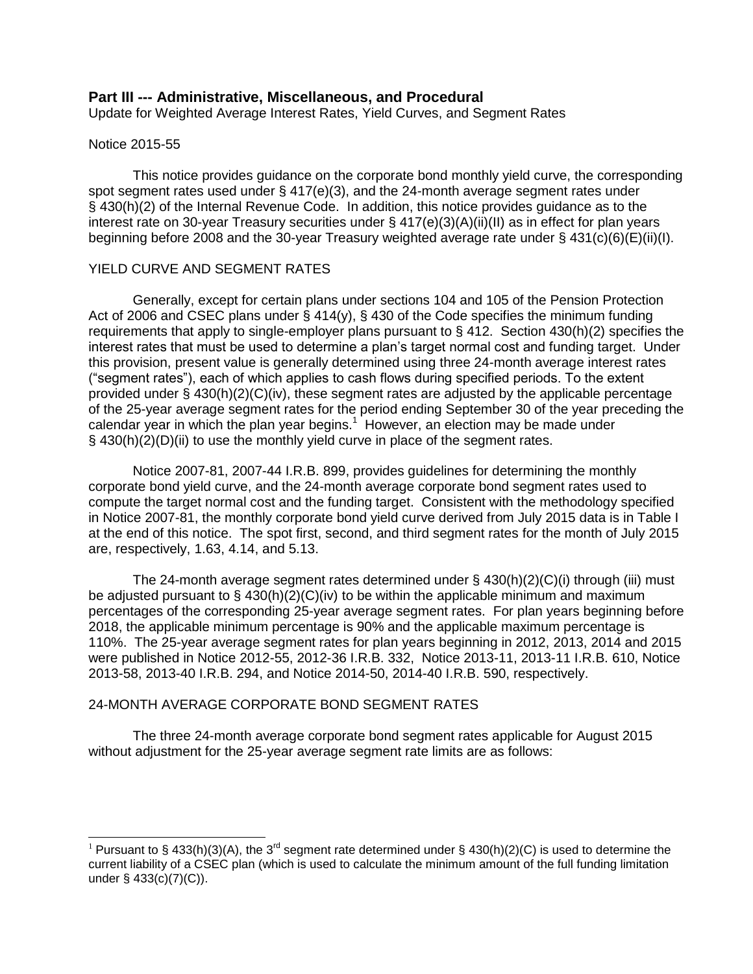# **Part III --- Administrative, Miscellaneous, and Procedural**

Update for Weighted Average Interest Rates, Yield Curves, and Segment Rates

## Notice 2015-55

 $\overline{a}$ 

This notice provides guidance on the corporate bond monthly yield curve, the corresponding spot segment rates used under  $\S$  417(e)(3), and the 24-month average segment rates under § 430(h)(2) of the Internal Revenue Code. In addition, this notice provides guidance as to the interest rate on 30-year Treasury securities under § 417(e)(3)(A)(ii)(II) as in effect for plan years beginning before 2008 and the 30-year Treasury weighted average rate under § 431(c)(6)(E)(ii)(I).

## YIELD CURVE AND SEGMENT RATES

Generally, except for certain plans under sections 104 and 105 of the Pension Protection Act of 2006 and CSEC plans under § 414(y), § 430 of the Code specifies the minimum funding requirements that apply to single-employer plans pursuant to § 412. Section 430(h)(2) specifies the interest rates that must be used to determine a plan's target normal cost and funding target. Under this provision, present value is generally determined using three 24-month average interest rates ("segment rates"), each of which applies to cash flows during specified periods. To the extent provided under  $\S$  430(h)(2)(C)(iv), these segment rates are adjusted by the applicable percentage of the 25-year average segment rates for the period ending September 30 of the year preceding the calendar year in which the plan year begins.<sup>1</sup> However, an election may be made under § 430(h)(2)(D)(ii) to use the monthly yield curve in place of the segment rates.

Notice 2007-81, 2007-44 I.R.B. 899, provides guidelines for determining the monthly corporate bond yield curve, and the 24-month average corporate bond segment rates used to compute the target normal cost and the funding target. Consistent with the methodology specified in Notice 2007-81, the monthly corporate bond yield curve derived from July 2015 data is in Table I at the end of this notice. The spot first, second, and third segment rates for the month of July 2015 are, respectively, 1.63, 4.14, and 5.13.

The 24-month average segment rates determined under  $\S$  430(h)(2)(C)(i) through (iii) must be adjusted pursuant to § 430(h)(2)(C)(iv) to be within the applicable minimum and maximum percentages of the corresponding 25-year average segment rates. For plan years beginning before 2018, the applicable minimum percentage is 90% and the applicable maximum percentage is 110%. The 25-year average segment rates for plan years beginning in 2012, 2013, 2014 and 2015 were published in Notice 2012-55, 2012-36 I.R.B. 332, Notice 2013-11, 2013-11 I.R.B. 610, Notice 2013-58, 2013-40 I.R.B. 294, and Notice 2014-50, 2014-40 I.R.B. 590, respectively.

# 24-MONTH AVERAGE CORPORATE BOND SEGMENT RATES

The three 24-month average corporate bond segment rates applicable for August 2015 without adjustment for the 25-year average segment rate limits are as follows:

<sup>&</sup>lt;sup>1</sup> Pursuant to § 433(h)(3)(A), the 3<sup>rd</sup> segment rate determined under § 430(h)(2)(C) is used to determine the current liability of a CSEC plan (which is used to calculate the minimum amount of the full funding limitation under § 433(c)(7)(C)).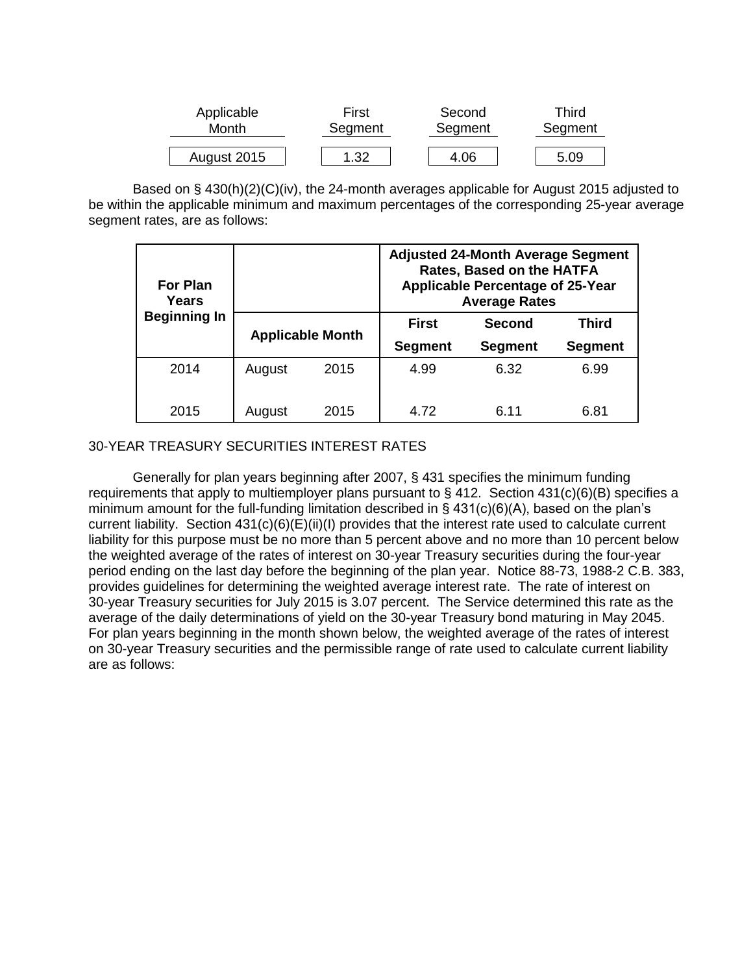| Applicable  | First   | Second  | Third   |  |  |  |
|-------------|---------|---------|---------|--|--|--|
| Month       | Segment | Segment | Segment |  |  |  |
| August 2015 | .32     | 4.06    | 5.09    |  |  |  |

Based on § 430(h)(2)(C)(iv), the 24-month averages applicable for August 2015 adjusted to be within the applicable minimum and maximum percentages of the corresponding 25-year average segment rates, are as follows:

| <b>For Plan</b><br>Years |        |                         | <b>Adjusted 24-Month Average Segment</b><br><b>Rates, Based on the HATFA</b><br><b>Applicable Percentage of 25-Year</b><br><b>Average Rates</b> |                |                |  |  |  |
|--------------------------|--------|-------------------------|-------------------------------------------------------------------------------------------------------------------------------------------------|----------------|----------------|--|--|--|
| <b>Beginning In</b>      |        |                         | <b>First</b>                                                                                                                                    | <b>Second</b>  | <b>Third</b>   |  |  |  |
|                          |        | <b>Applicable Month</b> | <b>Segment</b>                                                                                                                                  | <b>Segment</b> | <b>Segment</b> |  |  |  |
| 2014                     | August | 2015                    | 4.99                                                                                                                                            | 6.32           | 6.99           |  |  |  |
|                          |        |                         |                                                                                                                                                 |                |                |  |  |  |
| 2015                     | August | 2015                    | 4.72                                                                                                                                            | 6.11           | 6.81           |  |  |  |

# 30-YEAR TREASURY SECURITIES INTEREST RATES

Generally for plan years beginning after 2007, § 431 specifies the minimum funding requirements that apply to multiemployer plans pursuant to § 412. Section 431(c)(6)(B) specifies a minimum amount for the full-funding limitation described in § 431(c)(6)(A), based on the plan's current liability. Section 431(c)(6)(E)(ii)(I) provides that the interest rate used to calculate current liability for this purpose must be no more than 5 percent above and no more than 10 percent below the weighted average of the rates of interest on 30-year Treasury securities during the four-year period ending on the last day before the beginning of the plan year. Notice 88-73, 1988-2 C.B. 383, provides guidelines for determining the weighted average interest rate. The rate of interest on 30-year Treasury securities for July 2015 is 3.07 percent. The Service determined this rate as the average of the daily determinations of yield on the 30-year Treasury bond maturing in May 2045. For plan years beginning in the month shown below, the weighted average of the rates of interest on 30-year Treasury securities and the permissible range of rate used to calculate current liability are as follows: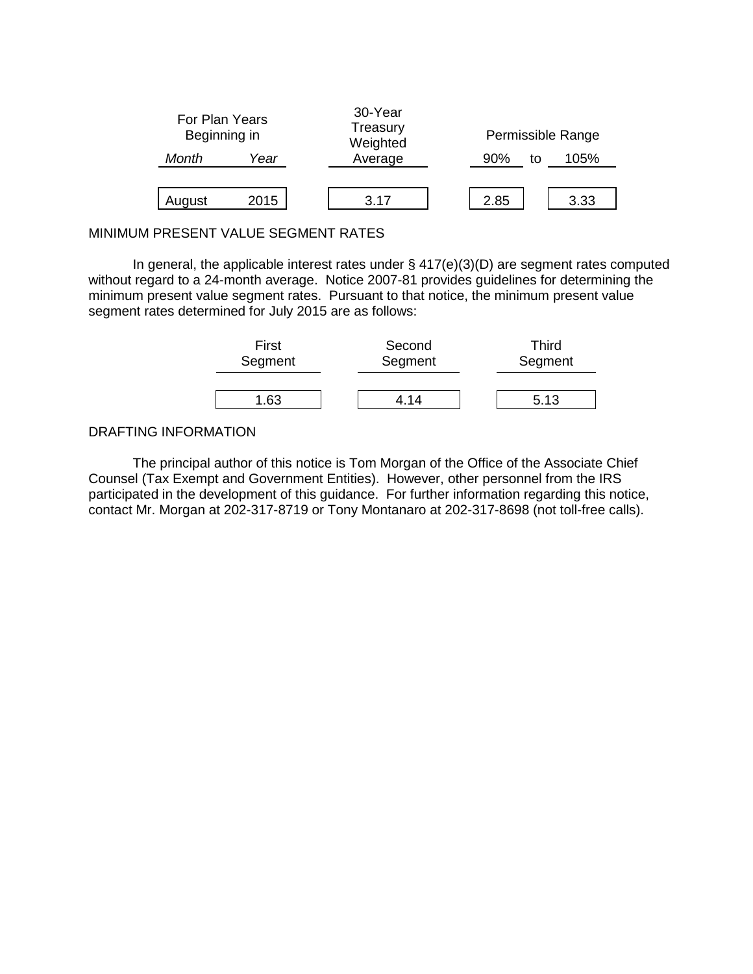

# MINIMUM PRESENT VALUE SEGMENT RATES

In general, the applicable interest rates under § 417(e)(3)(D) are segment rates computed without regard to a 24-month average. Notice 2007-81 provides guidelines for determining the minimum present value segment rates. Pursuant to that notice, the minimum present value segment rates determined for July 2015 are as follows:

| First   | Second  | Third   |
|---------|---------|---------|
| Segment | Segment | Segment |
| 1.63    | 1 1 4   | 5.13    |

## DRAFTING INFORMATION

The principal author of this notice is Tom Morgan of the Office of the Associate Chief Counsel (Tax Exempt and Government Entities). However, other personnel from the IRS participated in the development of this guidance. For further information regarding this notice, contact Mr. Morgan at 202-317-8719 or Tony Montanaro at 202-317-8698 (not toll-free calls).